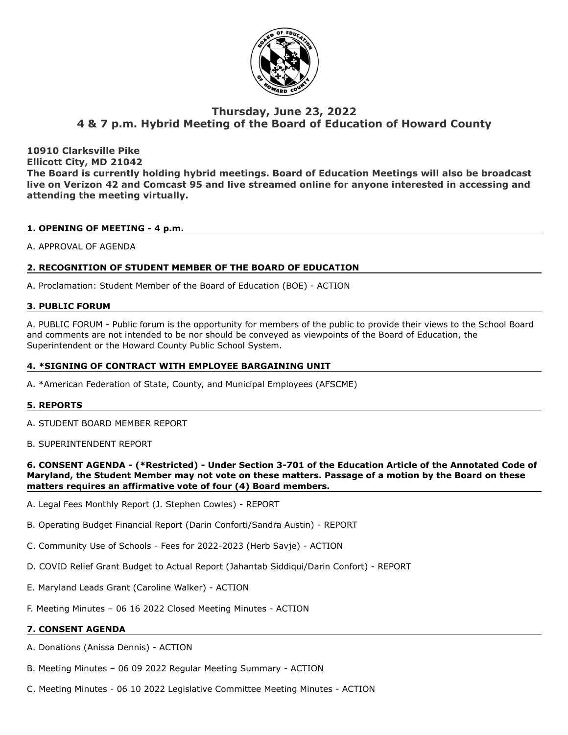

# **Thursday, June 23, 2022 4 & 7 p.m. Hybrid Meeting of the Board of Education of Howard County**

**10910 Clarksville Pike Ellicott City, MD 21042 The Board is currently holding hybrid meetings. Board of Education Meetings will also be broadcast live on Verizon 42 and Comcast 95 and live streamed online for anyone interested in accessing and attending the meeting virtually.**

# **1. OPENING OF MEETING - 4 p.m.**

# A. APPROVAL OF AGENDA

# **2. RECOGNITION OF STUDENT MEMBER OF THE BOARD OF EDUCATION**

A. Proclamation: Student Member of the Board of Education (BOE) - ACTION

# **3. PUBLIC FORUM**

A. PUBLIC FORUM - Public forum is the opportunity for members of the public to provide their views to the School Board and comments are not intended to be nor should be conveyed as viewpoints of the Board of Education, the Superintendent or the Howard County Public School System.

# **4. \*SIGNING OF CONTRACT WITH EMPLOYEE BARGAINING UNIT**

A. \*American Federation of State, County, and Municipal Employees (AFSCME)

# **5. REPORTS**

- A. STUDENT BOARD MEMBER REPORT
- B. SUPERINTENDENT REPORT

# **6. CONSENT AGENDA - (\*Restricted) - Under Section 3-701 of the Education Article of the Annotated Code of Maryland, the Student Member may not vote on these matters. Passage of a motion by the Board on these matters requires an affirmative vote of four (4) Board members.**

- A. Legal Fees Monthly Report (J. Stephen Cowles) REPORT
- B. Operating Budget Financial Report (Darin Conforti/Sandra Austin) REPORT
- C. Community Use of Schools Fees for 2022-2023 (Herb Savje) ACTION
- D. COVID Relief Grant Budget to Actual Report (Jahantab Siddiqui/Darin Confort) REPORT
- E. Maryland Leads Grant (Caroline Walker) ACTION
- F. Meeting Minutes 06 16 2022 Closed Meeting Minutes ACTION

# **7. CONSENT AGENDA**

- A. Donations (Anissa Dennis) ACTION
- B. Meeting Minutes 06 09 2022 Regular Meeting Summary ACTION
- C. Meeting Minutes 06 10 2022 Legislative Committee Meeting Minutes ACTION